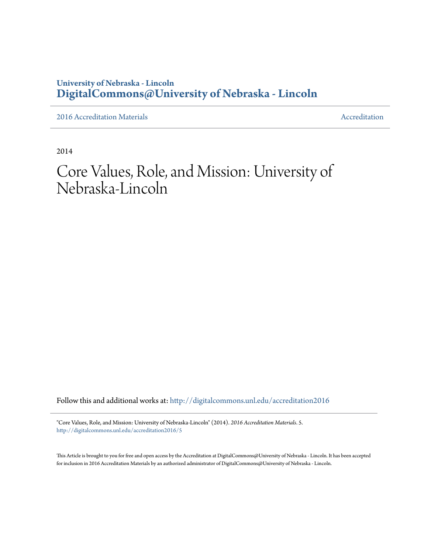## **University of Nebraska - Lincoln [DigitalCommons@University of Nebraska - Lincoln](http://digitalcommons.unl.edu?utm_source=digitalcommons.unl.edu%2Faccreditation2016%2F5&utm_medium=PDF&utm_campaign=PDFCoverPages)**

[2016 Accreditation Materials](http://digitalcommons.unl.edu/accreditation2016?utm_source=digitalcommons.unl.edu%2Faccreditation2016%2F5&utm_medium=PDF&utm_campaign=PDFCoverPages) **[Accreditation](http://digitalcommons.unl.edu/accreditation?utm_source=digitalcommons.unl.edu%2Faccreditation2016%2F5&utm_medium=PDF&utm_campaign=PDFCoverPages) Materials** Accreditation Accreditation

2014

# Core Values, Role, and Mission: University of Nebraska-Lincoln

Follow this and additional works at: [http://digitalcommons.unl.edu/accreditation2016](http://digitalcommons.unl.edu/accreditation2016?utm_source=digitalcommons.unl.edu%2Faccreditation2016%2F5&utm_medium=PDF&utm_campaign=PDFCoverPages)

"Core Values, Role, and Mission: University of Nebraska-Lincoln" (2014). *2016 Accreditation Materials*. 5. [http://digitalcommons.unl.edu/accreditation2016/5](http://digitalcommons.unl.edu/accreditation2016/5?utm_source=digitalcommons.unl.edu%2Faccreditation2016%2F5&utm_medium=PDF&utm_campaign=PDFCoverPages)

This Article is brought to you for free and open access by the Accreditation at DigitalCommons@University of Nebraska - Lincoln. It has been accepted for inclusion in 2016 Accreditation Materials by an authorized administrator of DigitalCommons@University of Nebraska - Lincoln.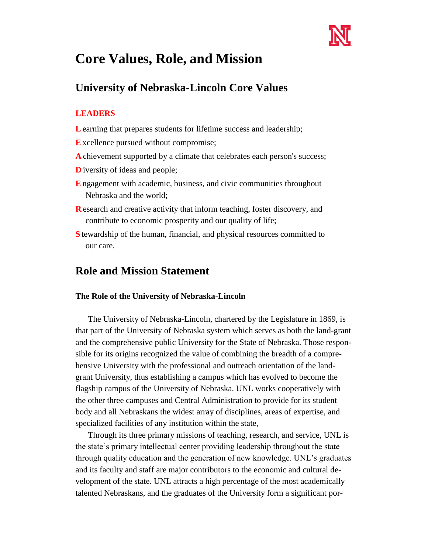

## **Core Values, Role, and Mission**

## **University of Nebraska-Lincoln Core Values**

#### **LEADERS**

- **L** earning that prepares students for lifetime success and leadership;
- **E**xcellence pursued without compromise;
- **A** chievement supported by a climate that celebrates each person's success;
- **D** iversity of ideas and people;
- **E** ngagement with academic, business, and civic communities throughout Nebraska and the world;
- **R** esearch and creative activity that inform teaching, foster discovery, and contribute to economic prosperity and our quality of life;
- **S** tewardship of the human, financial, and physical resources committed to our care.

### **Role and Mission Statement**

#### **The Role of the University of Nebraska-Lincoln**

The University of Nebraska-Lincoln, chartered by the Legislature in 1869, is that part of the University of Nebraska system which serves as both the land-grant and the comprehensive public University for the State of Nebraska. Those responsible for its origins recognized the value of combining the breadth of a comprehensive University with the professional and outreach orientation of the landgrant University, thus establishing a campus which has evolved to become the flagship campus of the University of Nebraska. UNL works cooperatively with the other three campuses and Central Administration to provide for its student body and all Nebraskans the widest array of disciplines, areas of expertise, and specialized facilities of any institution within the state,

Through its three primary missions of teaching, research, and service, UNL is the state's primary intellectual center providing leadership throughout the state through quality education and the generation of new knowledge. UNL's graduates and its faculty and staff are major contributors to the economic and cultural development of the state. UNL attracts a high percentage of the most academically talented Nebraskans, and the graduates of the University form a significant por-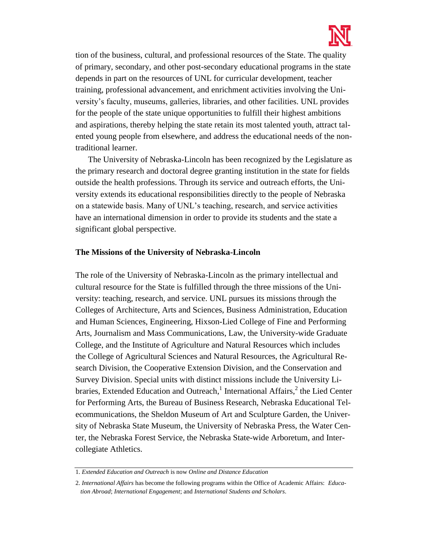

tion of the business, cultural, and professional resources of the State. The quality of primary, secondary, and other post-secondary educational programs in the state depends in part on the resources of UNL for curricular development, teacher training, professional advancement, and enrichment activities involving the University's faculty, museums, galleries, libraries, and other facilities. UNL provides for the people of the state unique opportunities to fulfill their highest ambitions and aspirations, thereby helping the state retain its most talented youth, attract talented young people from elsewhere, and address the educational needs of the nontraditional learner.

The University of Nebraska-Lincoln has been recognized by the Legislature as the primary research and doctoral degree granting institution in the state for fields outside the health professions. Through its service and outreach efforts, the University extends its educational responsibilities directly to the people of Nebraska on a statewide basis. Many of UNL's teaching, research, and service activities have an international dimension in order to provide its students and the state a significant global perspective.

#### **The Missions of the University of Nebraska-Lincoln**

The role of the University of Nebraska-Lincoln as the primary intellectual and cultural resource for the State is fulfilled through the three missions of the University: teaching, research, and service. UNL pursues its missions through the Colleges of Architecture, Arts and Sciences, Business Administration, Education and Human Sciences, Engineering, Hixson-Lied College of Fine and Performing Arts, Journalism and Mass Communications, Law, the University-wide Graduate College, and the Institute of Agriculture and Natural Resources which includes the College of Agricultural Sciences and Natural Resources, the Agricultural Research Division, the Cooperative Extension Division, and the Conservation and Survey Division. Special units with distinct missions include the University Libraries, Extended Education and Outreach,<sup>1</sup> International Affairs,<sup>2</sup> the Lied Center for Performing Arts, the Bureau of Business Research, Nebraska Educational Telecommunications, the Sheldon Museum of Art and Sculpture Garden, the University of Nebraska State Museum, the University of Nebraska Press, the Water Center, the Nebraska Forest Service, the Nebraska State-wide Arboretum, and Intercollegiate Athletics.

<sup>1.</sup> *Extended Education and Outreach* is now *Online and Distance Education* 

<sup>2.</sup> *International Affairs* has become the following programs within the Office of Academic Affairs: *Education Abroad*; *International Engagement*; and *International Students and Scholars*.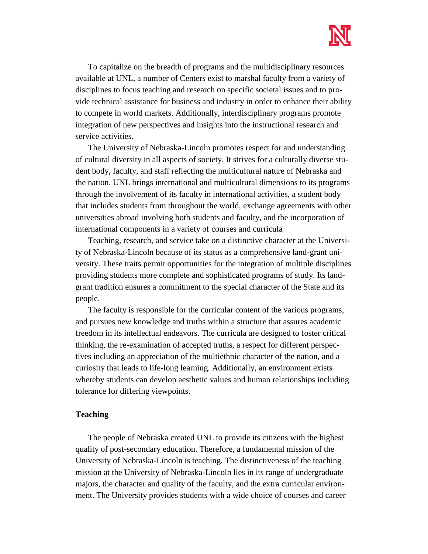

To capitalize on the breadth of programs and the multidisciplinary resources available at UNL, a number of Centers exist to marshal faculty from a variety of disciplines to focus teaching and research on specific societal issues and to provide technical assistance for business and industry in order to enhance their ability to compete in world markets. Additionally, interdisciplinary programs promote integration of new perspectives and insights into the instructional research and service activities.

The University of Nebraska-Lincoln promotes respect for and understanding of cultural diversity in all aspects of society. It strives for a culturally diverse student body, faculty, and staff reflecting the multicultural nature of Nebraska and the nation. UNL brings international and multicultural dimensions to its programs through the involvement of its faculty in international activities, a student body that includes students from throughout the world, exchange agreements with other universities abroad involving both students and faculty, and the incorporation of international components in a variety of courses and curricula

Teaching, research, and service take on a distinctive character at the University of Nebraska-Lincoln because of its status as a comprehensive land-grant university. These traits permit opportunities for the integration of multiple disciplines providing students more complete and sophisticated programs of study. Its landgrant tradition ensures a commitment to the special character of the State and its people.

The faculty is responsible for the curricular content of the various programs, and pursues new knowledge and truths within a structure that assures academic freedom in its intellectual endeavors. The curricula are designed to foster critical thinking, the re-examination of accepted truths, a respect for different perspectives including an appreciation of the multiethnic character of the nation, and a curiosity that leads to life-long learning. Additionally, an environment exists whereby students can develop aesthetic values and human relationships including tolerance for differing viewpoints.

#### **Teaching**

The people of Nebraska created UNL to provide its citizens with the highest quality of post-secondary education. Therefore, a fundamental mission of the University of Nebraska-Lincoln is teaching. The distinctiveness of the teaching mission at the University of Nebraska-Lincoln lies in its range of undergraduate majors, the character and quality of the faculty, and the extra curricular environment. The University provides students with a wide choice of courses and career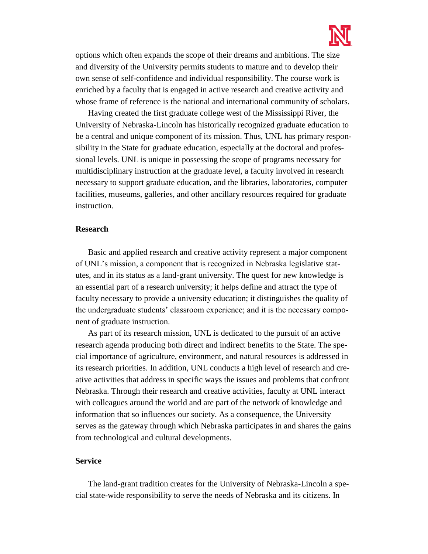

options which often expands the scope of their dreams and ambitions. The size and diversity of the University permits students to mature and to develop their own sense of self-confidence and individual responsibility. The course work is enriched by a faculty that is engaged in active research and creative activity and whose frame of reference is the national and international community of scholars.

Having created the first graduate college west of the Mississippi River, the University of Nebraska-Lincoln has historically recognized graduate education to be a central and unique component of its mission. Thus, UNL has primary responsibility in the State for graduate education, especially at the doctoral and professional levels. UNL is unique in possessing the scope of programs necessary for multidisciplinary instruction at the graduate level, a faculty involved in research necessary to support graduate education, and the libraries, laboratories, computer facilities, museums, galleries, and other ancillary resources required for graduate instruction.

#### **Research**

Basic and applied research and creative activity represent a major component of UNL's mission, a component that is recognized in Nebraska legislative statutes, and in its status as a land-grant university. The quest for new knowledge is an essential part of a research university; it helps define and attract the type of faculty necessary to provide a university education; it distinguishes the quality of the undergraduate students' classroom experience; and it is the necessary component of graduate instruction.

As part of its research mission, UNL is dedicated to the pursuit of an active research agenda producing both direct and indirect benefits to the State. The special importance of agriculture, environment, and natural resources is addressed in its research priorities. In addition, UNL conducts a high level of research and creative activities that address in specific ways the issues and problems that confront Nebraska. Through their research and creative activities, faculty at UNL interact with colleagues around the world and are part of the network of knowledge and information that so influences our society. As a consequence, the University serves as the gateway through which Nebraska participates in and shares the gains from technological and cultural developments.

#### **Service**

The land-grant tradition creates for the University of Nebraska-Lincoln a special state-wide responsibility to serve the needs of Nebraska and its citizens. In